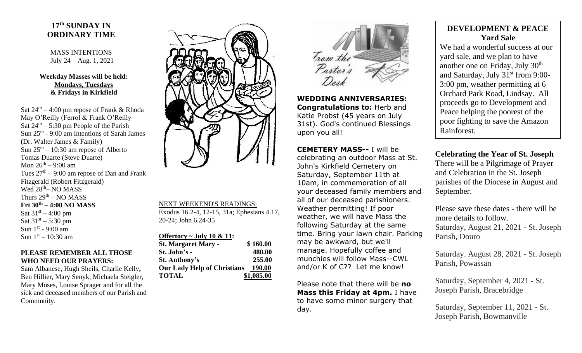## **17 th SUNDAY IN ORDINARY TIME**

MASS INTENTIONS July 24 – Aug. 1, 2021

## **Weekday Masses will be held: Mondays, Tuesdays & Fridays in Kirkfield**

Sat  $24<sup>th</sup> - 4:00$  pm repose of Frank & Rhoda May O'Reilly (Ferrol & Frank O'Reilly Sat  $24<sup>th</sup> - 5:30$  pm People of the Parish Sun 25<sup>th</sup> - 9:00 am Intentions of Sarah James (Dr. Walter James & Family) Sun  $25<sup>th</sup> - 10:30$  am repose of Alberto Tomas Duarte (Steve Duarte) Mon 26<sup>th</sup> – 9:00 am Tues  $27<sup>th</sup> - 9:00$  am repose of Dan and Frank Fitzgerald (Robert Fitzgerald) Wed 28<sup>th</sup>– NO MASS Thurs  $29<sup>th</sup> - NO MASS$ **Fri 30th – 4:00 NO MASS** Sat  $31^{st} - 4:00$  pm Sat  $31^{st} - 5:30$  pm Sun  $1<sup>st</sup>$  - 9:00 am Sun  $1<sup>st</sup> - 10:30$  am

## **PLEASE REMEMBER ALL THOSE WHO NEED OUR PRAYERS:**

Sam Albanese, Hugh Sheils, Charlie Kelly**,**  Ben Hillier, Mary Senyk, Michaela Steigler, Mary Moses, Louise Sprager and for all the sick and deceased members of our Parish and Community.



NEXT WEEKEND'S READINGS:

Exodus 16.2-4, 12-15, 31a; Ephesians 4.17, 20-24; John 6.24-35

| Offertory ~ July 10 & 11:          |            |
|------------------------------------|------------|
| <b>St. Margaret Mary -</b>         | \$160.00   |
| St. John's -                       | 480.00     |
| <b>St. Anthony's</b>               | 255.00     |
| <b>Our Lady Help of Christians</b> | 190.00     |
| <b>TOTAL</b>                       | \$1,085.00 |



**WEDDING ANNIVERSARIES: Congratulations to:** Herb and Katie Probst (45 years on July 31st). God's continued Blessings upon you all!

**CEMETERY MASS--** I will be celebrating an outdoor Mass at St. John's Kirkfield Cemetery on Saturday, September 11th at 10am, in commemoration of all your deceased family members and all of our deceased parishioners. Weather permitting! If poor weather, we will have Mass the following Saturday at the same time. Bring your lawn chair. Parking may be awkward, but we'll manage. Hopefully coffee and munchies will follow Mass--CWL and/or K of C?? Let me know!

Please note that there will be **no Mass this Friday at 4pm.** I have to have some minor surgery that day.

## **DEVELOPMENT & PEACE Yard Sale**

We had a wonderful success at our yard sale, and we plan to have another one on Friday, July 30th and Saturday, July 31<sup>st</sup> from 9:00-3:00 pm, weather permitting at 6 Orchard Park Road, Lindsay. All proceeds go to Development and Peace helping the poorest of the poor fighting to save the Amazon Rainforest.

**Celebrating the Year of St. Joseph** There will be a Pilgrimage of Prayer and Celebration in the St. Joseph parishes of the Diocese in August and September.

Please save these dates - there will be more details to follow. Saturday, August 21, 2021 - St. Joseph Parish, Douro

Saturday. August 28, 2021 - St. Joseph Parish, Powassan

Saturday, September 4, 2021 - St. Joseph Parish, Bracebridge

Saturday, September 11, 2021 - St. Joseph Parish, Bowmanville